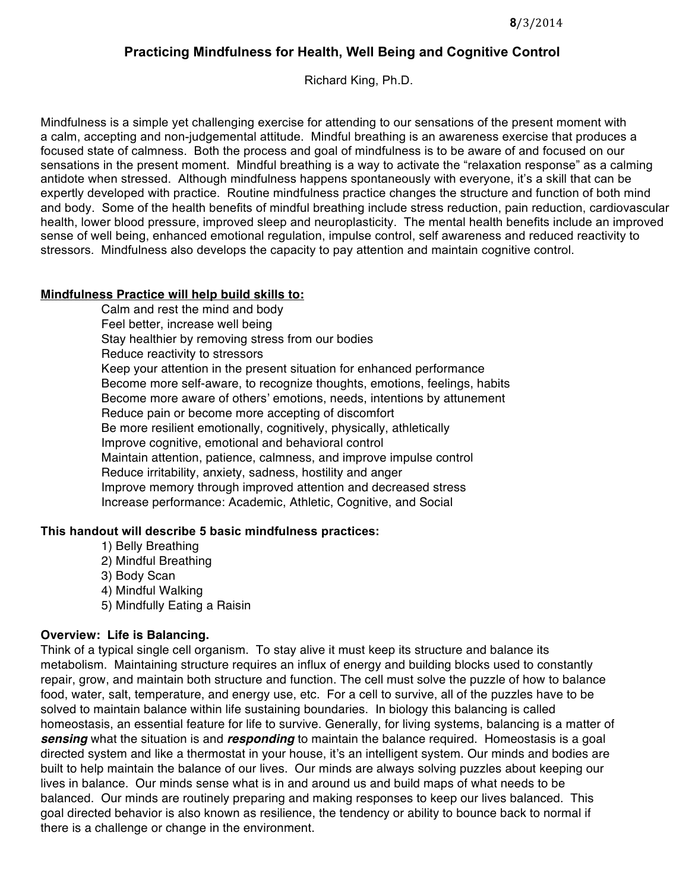## **Practicing Mindfulness for Health, Well Being and Cognitive Control**

Richard King, Ph.D.

Mindfulness is a simple yet challenging exercise for attending to our sensations of the present moment with a calm, accepting and non-judgemental attitude. Mindful breathing is an awareness exercise that produces a focused state of calmness. Both the process and goal of mindfulness is to be aware of and focused on our sensations in the present moment. Mindful breathing is a way to activate the "relaxation response" as a calming antidote when stressed. Although mindfulness happens spontaneously with everyone, it's a skill that can be expertly developed with practice. Routine mindfulness practice changes the structure and function of both mind and body. Some of the health benefits of mindful breathing include stress reduction, pain reduction, cardiovascular health, lower blood pressure, improved sleep and neuroplasticity. The mental health benefits include an improved sense of well being, enhanced emotional regulation, impulse control, self awareness and reduced reactivity to stressors. Mindfulness also develops the capacity to pay attention and maintain cognitive control.

#### **Mindfulness Practice will help build skills to:**

Calm and rest the mind and body Feel better, increase well being Stay healthier by removing stress from our bodies Reduce reactivity to stressors Keep your attention in the present situation for enhanced performance Become more self-aware, to recognize thoughts, emotions, feelings, habits Become more aware of others' emotions, needs, intentions by attunement Reduce pain or become more accepting of discomfort Be more resilient emotionally, cognitively, physically, athletically Improve cognitive, emotional and behavioral control Maintain attention, patience, calmness, and improve impulse control Reduce irritability, anxiety, sadness, hostility and anger Improve memory through improved attention and decreased stress Increase performance: Academic, Athletic, Cognitive, and Social

#### **This handout will describe 5 basic mindfulness practices:**

- 1) Belly Breathing
- 2) Mindful Breathing
- 3) Body Scan
- 4) Mindful Walking
- 5) Mindfully Eating a Raisin

#### **Overview: Life is Balancing.**

Think of a typical single cell organism. To stay alive it must keep its structure and balance its metabolism. Maintaining structure requires an influx of energy and building blocks used to constantly repair, grow, and maintain both structure and function. The cell must solve the puzzle of how to balance food, water, salt, temperature, and energy use, etc. For a cell to survive, all of the puzzles have to be solved to maintain balance within life sustaining boundaries. In biology this balancing is called homeostasis, an essential feature for life to survive. Generally, for living systems, balancing is a matter of *sensing* what the situation is and *responding* to maintain the balance required. Homeostasis is a goal directed system and like a thermostat in your house, it's an intelligent system. Our minds and bodies are built to help maintain the balance of our lives. Our minds are always solving puzzles about keeping our lives in balance. Our minds sense what is in and around us and build maps of what needs to be balanced. Our minds are routinely preparing and making responses to keep our lives balanced. This goal directed behavior is also known as resilience, the tendency or ability to bounce back to normal if there is a challenge or change in the environment.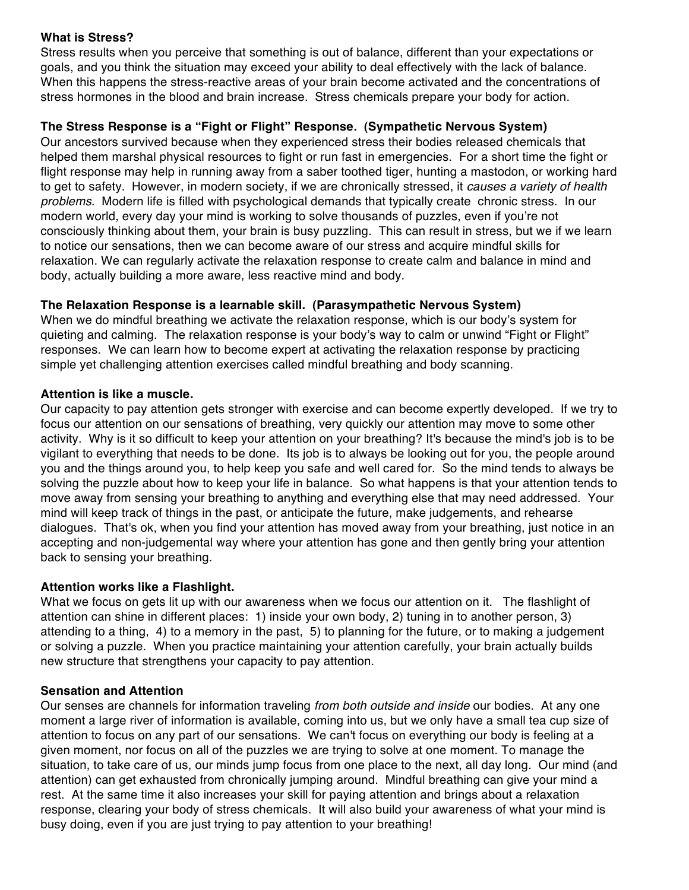#### **What is Stress?**

Stress results when you perceive that something is out of balance, different than your expectations or goals, and you think the situation may exceed your ability to deal effectively with the lack of balance. When this happens the stress-reactive areas of your brain become activated and the concentrations of stress hormones in the blood and brain increase. Stress chemicals prepare your body for action.

### **The Stress Response is a "Fight or Flight" Response. (Sympathetic Nervous System)**

Our ancestors survived because when they experienced stress their bodies released chemicals that helped them marshal physical resources to fight or run fast in emergencies. For a short time the fight or flight response may help in running away from a saber toothed tiger, hunting a mastodon, or working hard to get to safety. However, in modern society, if we are chronically stressed, it *causes a variety of health problems*. Modern life is filled with psychological demands that typically create chronic stress. In our modern world, every day your mind is working to solve thousands of puzzles, even if you're not consciously thinking about them, your brain is busy puzzling. This can result in stress, but we if we learn to notice our sensations, then we can become aware of our stress and acquire mindful skills for relaxation. We can regularly activate the relaxation response to create calm and balance in mind and body, actually building a more aware, less reactive mind and body.

### **The Relaxation Response is a learnable skill. (Parasympathetic Nervous System)**

When we do mindful breathing we activate the relaxation response, which is our body's system for quieting and calming. The relaxation response is your body's way to calm or unwind "Fight or Flight" responses. We can learn how to become expert at activating the relaxation response by practicing simple yet challenging attention exercises called mindful breathing and body scanning.

#### **Attention is like a muscle.**

Our capacity to pay attention gets stronger with exercise and can become expertly developed. If we try to focus our attention on our sensations of breathing, very quickly our attention may move to some other activity. Why is it so difficult to keep your attention on your breathing? It's because the mind's job is to be vigilant to everything that needs to be done. Its job is to always be looking out for you, the people around you and the things around you, to help keep you safe and well cared for. So the mind tends to always be solving the puzzle about how to keep your life in balance. So what happens is that your attention tends to move away from sensing your breathing to anything and everything else that may need addressed. Your mind will keep track of things in the past, or anticipate the future, make judgements, and rehearse dialogues. That's ok, when you find your attention has moved away from your breathing, just notice in an accepting and non-judgemental way where your attention has gone and then gently bring your attention back to sensing your breathing.

#### **Attention works like a Flashlight.**

What we focus on gets lit up with our awareness when we focus our attention on it. The flashlight of attention can shine in different places: 1) inside your own body, 2) tuning in to another person, 3) attending to a thing, 4) to a memory in the past, 5) to planning for the future, or to making a judgement or solving a puzzle. When you practice maintaining your attention carefully, your brain actually builds new structure that strengthens your capacity to pay attention.

#### **Sensation and Attention**

Our senses are channels for information traveling *from both outside and inside* our bodies. At any one moment a large river of information is available, coming into us, but we only have a small tea cup size of attention to focus on any part of our sensations. We can't focus on everything our body is feeling at a given moment, nor focus on all of the puzzles we are trying to solve at one moment. To manage the situation, to take care of us, our minds jump focus from one place to the next, all day long. Our mind (and attention) can get exhausted from chronically jumping around. Mindful breathing can give your mind a rest. At the same time it also increases your skill for paying attention and brings about a relaxation response, clearing your body of stress chemicals. It will also build your awareness of what your mind is busy doing, even if you are just trying to pay attention to your breathing!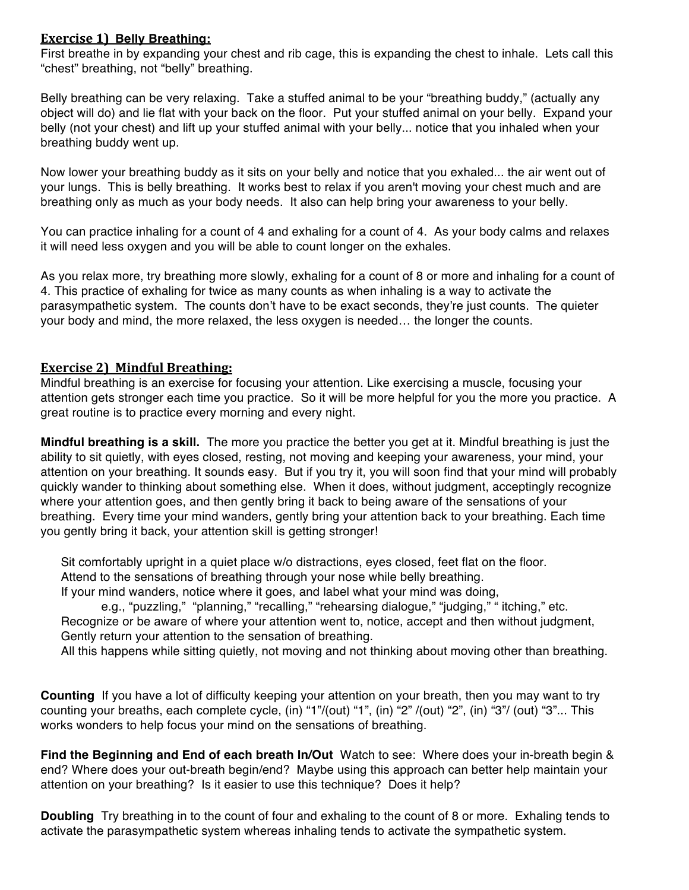### **Exercise 1) Belly Breathing:**

First breathe in by expanding your chest and rib cage, this is expanding the chest to inhale. Lets call this "chest" breathing, not "belly" breathing.

Belly breathing can be very relaxing. Take a stuffed animal to be your "breathing buddy," (actually any object will do) and lie flat with your back on the floor. Put your stuffed animal on your belly. Expand your belly (not your chest) and lift up your stuffed animal with your belly... notice that you inhaled when your breathing buddy went up.

Now lower your breathing buddy as it sits on your belly and notice that you exhaled... the air went out of your lungs. This is belly breathing. It works best to relax if you aren't moving your chest much and are breathing only as much as your body needs. It also can help bring your awareness to your belly.

You can practice inhaling for a count of 4 and exhaling for a count of 4. As your body calms and relaxes it will need less oxygen and you will be able to count longer on the exhales.

As you relax more, try breathing more slowly, exhaling for a count of 8 or more and inhaling for a count of 4. This practice of exhaling for twice as many counts as when inhaling is a way to activate the parasympathetic system. The counts don't have to be exact seconds, they're just counts. The quieter your body and mind, the more relaxed, the less oxygen is needed… the longer the counts.

## **Exercise 2) Mindful Breathing:**

Mindful breathing is an exercise for focusing your attention. Like exercising a muscle, focusing your attention gets stronger each time you practice. So it will be more helpful for you the more you practice. A great routine is to practice every morning and every night.

**Mindful breathing is a skill.** The more you practice the better you get at it. Mindful breathing is just the ability to sit quietly, with eyes closed, resting, not moving and keeping your awareness, your mind, your attention on your breathing. It sounds easy. But if you try it, you will soon find that your mind will probably quickly wander to thinking about something else. When it does, without judgment, acceptingly recognize where your attention goes, and then gently bring it back to being aware of the sensations of your breathing. Every time your mind wanders, gently bring your attention back to your breathing. Each time you gently bring it back, your attention skill is getting stronger!

Sit comfortably upright in a quiet place w/o distractions, eyes closed, feet flat on the floor. Attend to the sensations of breathing through your nose while belly breathing.

If your mind wanders, notice where it goes, and label what your mind was doing,

e.g., "puzzling," "planning," "recalling," "rehearsing dialogue," "judging," " itching," etc. Recognize or be aware of where your attention went to, notice, accept and then without judgment, Gently return your attention to the sensation of breathing.

All this happens while sitting quietly, not moving and not thinking about moving other than breathing.

**Counting** If you have a lot of difficulty keeping your attention on your breath, then you may want to try counting your breaths, each complete cycle, (in) "1"/(out) "1", (in) "2" /(out) "2", (in) "3"/ (out) "3"... This works wonders to help focus your mind on the sensations of breathing.

**Find the Beginning and End of each breath In/Out** Watch to see: Where does your in-breath begin & end? Where does your out-breath begin/end? Maybe using this approach can better help maintain your attention on your breathing? Is it easier to use this technique? Does it help?

**Doubling** Try breathing in to the count of four and exhaling to the count of 8 or more. Exhaling tends to activate the parasympathetic system whereas inhaling tends to activate the sympathetic system.